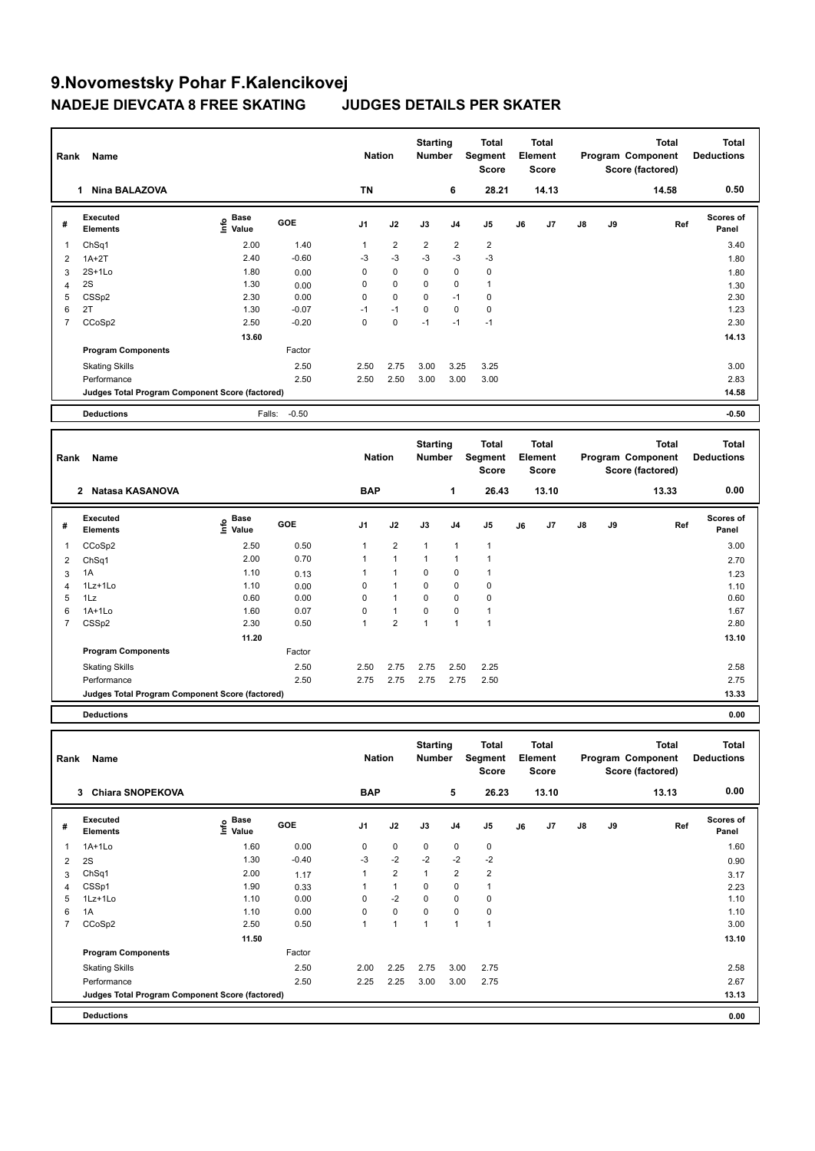Factor

| Rank           | Name                                            |                                           |            |                | <b>Nation</b>  | <b>Starting</b><br><b>Number</b> |                | <b>Total</b><br>Segment<br><b>Score</b> |    | <b>Total</b><br>Element<br><b>Score</b> |    |    | <b>Total</b><br>Program Component<br>Score (factored) | <b>Total</b><br><b>Deductions</b> |
|----------------|-------------------------------------------------|-------------------------------------------|------------|----------------|----------------|----------------------------------|----------------|-----------------------------------------|----|-----------------------------------------|----|----|-------------------------------------------------------|-----------------------------------|
|                | 1 Nina BALAZOVA                                 |                                           |            | <b>TN</b>      |                |                                  | 6              | 28.21                                   |    | 14.13                                   |    |    | 14.58                                                 | 0.50                              |
| #              | <b>Executed</b><br><b>Elements</b>              | $\frac{e}{E}$ Base<br>$\frac{e}{E}$ Value | GOE        | J <sub>1</sub> | J2             | J3                               | J4             | J <sub>5</sub>                          | J6 | J7                                      | J8 | J9 | Ref                                                   | Scores of<br>Panel                |
| $\mathbf{1}$   | ChSq1                                           | 2.00                                      | 1.40       | $\mathbf{1}$   | $\overline{2}$ | $\overline{2}$                   | $\overline{2}$ | $\overline{2}$                          |    |                                         |    |    |                                                       | 3.40                              |
| $\overline{2}$ | $1A+2T$                                         | 2.40                                      | $-0.60$    | $-3$           | $-3$           | $-3$                             | $-3$           | $-3$                                    |    |                                         |    |    |                                                       | 1.80                              |
| 3              | $2S+1Lo$                                        | 1.80                                      | 0.00       | $\mathbf 0$    | 0              | 0                                | $\mathbf 0$    | $\mathbf 0$                             |    |                                         |    |    |                                                       | 1.80                              |
| $\overline{4}$ | 2S                                              | 1.30                                      | 0.00       | $\mathbf 0$    | 0              | 0                                | $\mathbf 0$    | $\mathbf{1}$                            |    |                                         |    |    |                                                       | 1.30                              |
| 5              | CSSp2                                           | 2.30                                      | 0.00       | $\mathbf 0$    | $\mathbf 0$    | 0                                | $-1$           | $\pmb{0}$                               |    |                                         |    |    |                                                       | 2.30                              |
| 6              | 2T                                              | 1.30                                      | $-0.07$    | $-1$           | $-1$           | 0                                | $\Omega$       | $\mathbf 0$                             |    |                                         |    |    |                                                       | 1.23                              |
| $\overline{7}$ | CCoSp2                                          | 2.50                                      | $-0.20$    | $\Omega$       | $\mathbf{0}$   | $-1$                             | $-1$           | $-1$                                    |    |                                         |    |    |                                                       | 2.30                              |
|                |                                                 | 13.60                                     |            |                |                |                                  |                |                                         |    |                                         |    |    |                                                       | 14.13                             |
|                | <b>Program Components</b>                       |                                           | Factor     |                |                |                                  |                |                                         |    |                                         |    |    |                                                       |                                   |
|                | <b>Skating Skills</b>                           |                                           | 2.50       | 2.50           | 2.75           | 3.00                             | 3.25           | 3.25                                    |    |                                         |    |    |                                                       | 3.00                              |
|                | Performance                                     |                                           | 2.50       | 2.50           | 2.50           | 3.00                             | 3.00           | 3.00                                    |    |                                         |    |    |                                                       | 2.83                              |
|                | Judges Total Program Component Score (factored) |                                           |            |                |                |                                  |                |                                         |    |                                         |    |    |                                                       | 14.58                             |
|                | <b>Deductions</b>                               | Falls:                                    | $-0.50$    |                |                |                                  |                |                                         |    |                                         |    |    |                                                       | $-0.50$                           |
|                |                                                 |                                           |            |                |                |                                  |                |                                         |    |                                         |    |    |                                                       |                                   |
| Rank           | Name                                            |                                           |            | <b>Nation</b>  |                | <b>Starting</b><br><b>Number</b> |                | <b>Total</b><br>Segment<br><b>Score</b> |    | <b>Total</b><br>Element<br><b>Score</b> |    |    | <b>Total</b><br>Program Component<br>Score (factored) | <b>Total</b><br><b>Deductions</b> |
|                | 2 Natasa KASANOVA                               |                                           |            | <b>BAP</b>     |                |                                  | $\mathbf{1}$   | 26.43                                   |    | 13.10                                   |    |    | 13.33                                                 | 0.00                              |
| #              | <b>Executed</b><br><b>Elements</b>              | e Base<br>E Value                         | <b>GOE</b> | J <sub>1</sub> | J2             | J3                               | J <sub>4</sub> | J <sub>5</sub>                          | J6 | J7                                      | J8 | J9 | Ref                                                   | Scores of<br>Panel                |
| $\mathbf{1}$   | CCoSp2                                          | 2.50                                      | 0.50       | $\mathbf{1}$   | $\overline{2}$ | $\mathbf{1}$                     | $\mathbf{1}$   | $\overline{1}$                          |    |                                         |    |    |                                                       | 3.00                              |
| $\overline{2}$ | ChSq1                                           | 2.00                                      | 0.70       | $\mathbf{1}$   | $\mathbf{1}$   | $\mathbf{1}$                     | $\mathbf{1}$   | $\mathbf{1}$                            |    |                                         |    |    |                                                       | 2.70                              |
| 3              | 1A                                              | 1.10                                      | 0.13       | $\mathbf{1}$   | $\mathbf{1}$   | 0                                | 0              | $\mathbf{1}$                            |    |                                         |    |    |                                                       | 1.23                              |
| $\overline{4}$ | 1Lz+1Lo                                         | 1.10                                      | 0.00       | $\mathbf 0$    | $\mathbf{1}$   | $\mathbf 0$                      | $\mathbf 0$    | $\pmb{0}$                               |    |                                         |    |    |                                                       | 1.10                              |
| 5              | 1Lz                                             | 0.60                                      | 0.00       | $\mathbf 0$    | $\mathbf{1}$   | 0                                | $\mathbf 0$    | $\mathbf 0$                             |    |                                         |    |    |                                                       | 0.60                              |
| 6              | $1A+1Lo$                                        | 1.60                                      | 0.07       | $\mathbf 0$    | $\mathbf{1}$   | 0                                | $\mathbf 0$    | $\mathbf{1}$                            |    |                                         |    |    |                                                       | 1.67                              |
| $\overline{7}$ | CSSp2                                           | 2.30                                      | 0.50       | 1              | $\overline{2}$ | $\mathbf{1}$                     | $\mathbf{1}$   | $\overline{1}$                          |    |                                         |    |    |                                                       | 2.80                              |
|                |                                                 | 11.20                                     |            |                |                |                                  |                |                                         |    |                                         |    |    |                                                       | 13.10                             |

Performance 2.50 2.75 2.75 2.75 2.75 2.50 2.75 **Judges Total Program Component Score (factored) 13.33**

**Deductions 0.00**

**Program Components** 

| Rank | Name                                            |                                    |         | <b>Nation</b>  |                      | <b>Starting</b><br><b>Number</b> |                | <b>Total</b><br>Segment<br><b>Score</b> |    | <b>Total</b><br>Element<br><b>Score</b> |               |    | <b>Total</b><br>Program Component<br>Score (factored) | <b>Total</b><br><b>Deductions</b> |
|------|-------------------------------------------------|------------------------------------|---------|----------------|----------------------|----------------------------------|----------------|-----------------------------------------|----|-----------------------------------------|---------------|----|-------------------------------------------------------|-----------------------------------|
|      | <b>Chiara SNOPEKOVA</b><br>3                    |                                    |         | <b>BAP</b>     |                      |                                  | 5              | 26.23                                   |    | 13.10                                   |               |    | 13.13                                                 | 0.00                              |
| #    | <b>Executed</b><br><b>Elements</b>              | <b>Base</b><br>$\frac{6}{5}$ Value | GOE     | J <sub>1</sub> | J2                   | J3                               | J <sub>4</sub> | J <sub>5</sub>                          | J6 | J7                                      | $\mathsf{J}8$ | J9 | Ref                                                   | Scores of<br>Panel                |
| 1    | $1A+1Lo$                                        | 1.60                               | 0.00    | $\Omega$       | $\mathbf 0$          | $\mathbf 0$                      | $\mathbf 0$    | 0                                       |    |                                         |               |    |                                                       | 1.60                              |
| 2    | 2S                                              | 1.30                               | $-0.40$ | $-3$           | $-2$                 | $-2$                             | $-2$           | $-2$                                    |    |                                         |               |    |                                                       | 0.90                              |
| 3    | ChSq1                                           | 2.00                               | 1.17    | 1              | $\overline{2}$       | 1                                | $\overline{2}$ | $\overline{2}$                          |    |                                         |               |    |                                                       | 3.17                              |
| 4    | CSSp1                                           | 1.90                               | 0.33    |                | 1                    | $\Omega$                         | $\mathbf 0$    | 1                                       |    |                                         |               |    |                                                       | 2.23                              |
| 5    | $1Lz+1Lo$                                       | 1.10                               | 0.00    | $\Omega$       | $-2$                 | $\Omega$                         | $\mathbf 0$    | 0                                       |    |                                         |               |    |                                                       | 1.10                              |
| 6    | 1A                                              | 1.10                               | 0.00    | 0              | 0                    | 0                                | 0              | 0                                       |    |                                         |               |    |                                                       | 1.10                              |
| 7    | CCoSp2                                          | 2.50                               | 0.50    |                | $\blacktriangleleft$ | $\overline{ }$                   | 1              | 1                                       |    |                                         |               |    |                                                       | 3.00                              |
|      |                                                 | 11.50                              |         |                |                      |                                  |                |                                         |    |                                         |               |    |                                                       | 13.10                             |
|      | <b>Program Components</b>                       |                                    | Factor  |                |                      |                                  |                |                                         |    |                                         |               |    |                                                       |                                   |
|      | <b>Skating Skills</b>                           |                                    | 2.50    | 2.00           | 2.25                 | 2.75                             | 3.00           | 2.75                                    |    |                                         |               |    |                                                       | 2.58                              |
|      | Performance                                     |                                    | 2.50    | 2.25           | 2.25                 | 3.00                             | 3.00           | 2.75                                    |    |                                         |               |    |                                                       | 2.67                              |
|      | Judges Total Program Component Score (factored) |                                    |         |                |                      |                                  |                |                                         |    |                                         |               |    |                                                       | 13.13                             |
|      | <b>Deductions</b>                               |                                    |         |                |                      |                                  |                |                                         |    |                                         |               |    |                                                       | 0.00                              |

Skating Skills 2.50 2.75 2.75 2.50 2.25 2.50 2.58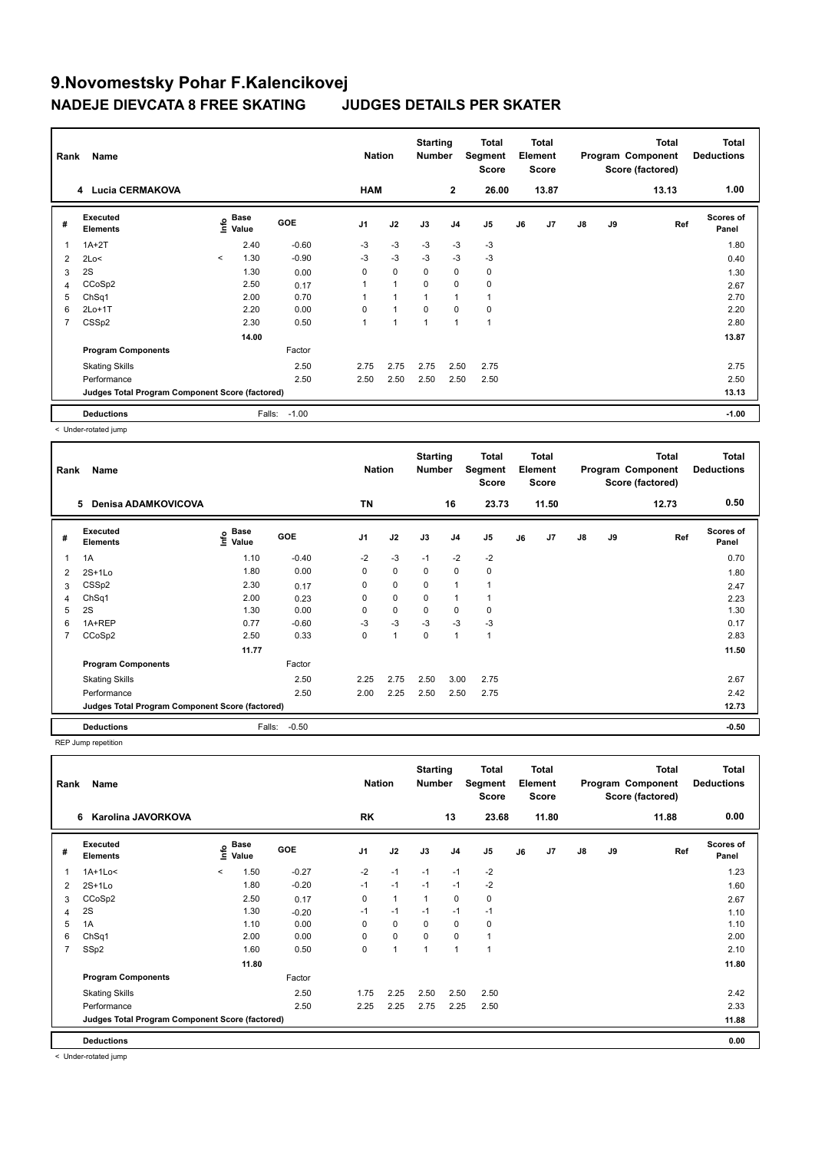| Rank           | Name                                            |         |               |            | <b>Nation</b>  |                | <b>Starting</b><br><b>Number</b> |                | <b>Total</b><br>Segment<br><b>Score</b> |    | <b>Total</b><br>Element<br><b>Score</b> |               |    | <b>Total</b><br>Program Component<br>Score (factored) | <b>Total</b><br><b>Deductions</b> |
|----------------|-------------------------------------------------|---------|---------------|------------|----------------|----------------|----------------------------------|----------------|-----------------------------------------|----|-----------------------------------------|---------------|----|-------------------------------------------------------|-----------------------------------|
|                | 4 Lucia CERMAKOVA                               |         |               |            | <b>HAM</b>     |                |                                  | $\mathbf{2}$   | 26.00                                   |    | 13.87                                   |               |    | 13.13                                                 | 1.00                              |
| #              | Executed<br><b>Elements</b>                     | lnfo    | Base<br>Value | <b>GOE</b> | J <sub>1</sub> | J2             | J3                               | J <sub>4</sub> | J <sub>5</sub>                          | J6 | J7                                      | $\mathsf{J}8$ | J9 | Ref                                                   | <b>Scores of</b><br>Panel         |
| 1              | $1A+2T$                                         |         | 2.40          | $-0.60$    | $-3$           | $-3$           | $-3$                             | $-3$           | $-3$                                    |    |                                         |               |    |                                                       | 1.80                              |
| 2              | 2Lo<                                            | $\prec$ | 1.30          | $-0.90$    | $-3$           | $-3$           | $-3$                             | $-3$           | $-3$                                    |    |                                         |               |    |                                                       | 0.40                              |
| 3              | 2S                                              |         | 1.30          | 0.00       | 0              | $\mathbf 0$    | 0                                | $\mathbf 0$    | 0                                       |    |                                         |               |    |                                                       | 1.30                              |
| 4              | CCoSp2                                          |         | 2.50          | 0.17       |                | $\overline{1}$ | $\Omega$                         | $\mathbf 0$    | $\mathbf 0$                             |    |                                         |               |    |                                                       | 2.67                              |
| 5              | ChSq1                                           |         | 2.00          | 0.70       |                |                |                                  | 1              |                                         |    |                                         |               |    |                                                       | 2.70                              |
| 6              | $2Lo+1T$                                        |         | 2.20          | 0.00       | $\Omega$       | $\overline{1}$ | 0                                | 0              | 0                                       |    |                                         |               |    |                                                       | 2.20                              |
| $\overline{7}$ | CSS <sub>p2</sub>                               |         | 2.30          | 0.50       | 1              | 1              | 1                                | $\overline{1}$ | $\overline{1}$                          |    |                                         |               |    |                                                       | 2.80                              |
|                |                                                 |         | 14.00         |            |                |                |                                  |                |                                         |    |                                         |               |    |                                                       | 13.87                             |
|                | <b>Program Components</b>                       |         |               | Factor     |                |                |                                  |                |                                         |    |                                         |               |    |                                                       |                                   |
|                | <b>Skating Skills</b>                           |         |               | 2.50       | 2.75           | 2.75           | 2.75                             | 2.50           | 2.75                                    |    |                                         |               |    |                                                       | 2.75                              |
|                | Performance                                     |         |               | 2.50       | 2.50           | 2.50           | 2.50                             | 2.50           | 2.50                                    |    |                                         |               |    |                                                       | 2.50                              |
|                | Judges Total Program Component Score (factored) |         |               |            |                |                |                                  |                |                                         |    |                                         |               |    |                                                       | 13.13                             |
|                | <b>Deductions</b>                               |         | Falls:        | $-1.00$    |                |                |                                  |                |                                         |    |                                         |               |    |                                                       | $-1.00$                           |

< Under-rotated jump

| Rank | Name                                            |                       |         | <b>Nation</b>  |      | <b>Starting</b><br><b>Number</b> |                | Total<br>Segment<br><b>Score</b> |    | <b>Total</b><br>Element<br><b>Score</b> |               |    | <b>Total</b><br>Program Component<br>Score (factored) | <b>Total</b><br><b>Deductions</b> |
|------|-------------------------------------------------|-----------------------|---------|----------------|------|----------------------------------|----------------|----------------------------------|----|-----------------------------------------|---------------|----|-------------------------------------------------------|-----------------------------------|
|      | 5<br><b>Denisa ADAMKOVICOVA</b>                 |                       |         | <b>TN</b>      |      |                                  | 16             | 23.73                            |    | 11.50                                   |               |    | 12.73                                                 | 0.50                              |
| #    | Executed<br><b>Elements</b>                     | $\sum_{i=1}^{n}$ Base | GOE     | J <sub>1</sub> | J2   | J3                               | J <sub>4</sub> | J <sub>5</sub>                   | J6 | J <sub>7</sub>                          | $\mathsf{J}8$ | J9 | Ref                                                   | <b>Scores of</b><br>Panel         |
| 1    | 1A                                              | 1.10                  | $-0.40$ | $-2$           | $-3$ | $-1$                             | $-2$           | $-2$                             |    |                                         |               |    |                                                       | 0.70                              |
| 2    | $2S+1Lo$                                        | 1.80                  | 0.00    | 0              | 0    | 0                                | $\mathbf 0$    | 0                                |    |                                         |               |    |                                                       | 1.80                              |
| 3    | CSS <sub>p2</sub>                               | 2.30                  | 0.17    | 0              | 0    | 0                                | 1              |                                  |    |                                         |               |    |                                                       | 2.47                              |
| 4    | ChSq1                                           | 2.00                  | 0.23    | 0              | 0    | $\mathbf 0$                      | 1              |                                  |    |                                         |               |    |                                                       | 2.23                              |
| 5    | 2S                                              | 1.30                  | 0.00    | 0              | 0    | $\mathbf 0$                      | 0              | 0                                |    |                                         |               |    |                                                       | 1.30                              |
| 6    | 1A+REP                                          | 0.77                  | $-0.60$ | $-3$           | $-3$ | $-3$                             | $-3$           | $-3$                             |    |                                         |               |    |                                                       | 0.17                              |
| 7    | CCoSp2                                          | 2.50                  | 0.33    | 0              | 1    | $\mathbf 0$                      | $\mathbf{1}$   | 1                                |    |                                         |               |    |                                                       | 2.83                              |
|      |                                                 | 11.77                 |         |                |      |                                  |                |                                  |    |                                         |               |    |                                                       | 11.50                             |
|      | <b>Program Components</b>                       |                       | Factor  |                |      |                                  |                |                                  |    |                                         |               |    |                                                       |                                   |
|      | <b>Skating Skills</b>                           |                       | 2.50    | 2.25           | 2.75 | 2.50                             | 3.00           | 2.75                             |    |                                         |               |    |                                                       | 2.67                              |
|      | Performance                                     |                       | 2.50    | 2.00           | 2.25 | 2.50                             | 2.50           | 2.75                             |    |                                         |               |    |                                                       | 2.42                              |
|      | Judges Total Program Component Score (factored) |                       |         |                |      |                                  |                |                                  |    |                                         |               |    |                                                       | 12.73                             |
|      | <b>Deductions</b>                               | Falls:                | $-0.50$ |                |      |                                  |                |                                  |    |                                         |               |    |                                                       | $-0.50$                           |

REP Jump repetition

| Rank           | Name                                            |         |                           |            | <b>Nation</b>  |                | <b>Starting</b><br><b>Number</b> |                | Total<br>Segment<br><b>Score</b> |    | <b>Total</b><br>Element<br><b>Score</b> |               |    | <b>Total</b><br>Program Component<br>Score (factored) | <b>Total</b><br><b>Deductions</b> |
|----------------|-------------------------------------------------|---------|---------------------------|------------|----------------|----------------|----------------------------------|----------------|----------------------------------|----|-----------------------------------------|---------------|----|-------------------------------------------------------|-----------------------------------|
|                | Karolina JAVORKOVA<br>6                         |         |                           |            | RK             |                |                                  | 13             | 23.68                            |    | 11.80                                   |               |    | 11.88                                                 | 0.00                              |
| #              | Executed<br><b>Elements</b>                     |         | Base<br>e Base<br>⊆ Value | <b>GOE</b> | J <sub>1</sub> | J2             | J3                               | J <sub>4</sub> | J5                               | J6 | J7                                      | $\mathsf{J}8$ | J9 | Ref                                                   | <b>Scores of</b><br>Panel         |
|                | 1A+1Lo<                                         | $\prec$ | 1.50                      | $-0.27$    | $-2$           | $-1$           | $-1$                             | $-1$           | $-2$                             |    |                                         |               |    |                                                       | 1.23                              |
| 2              | $2S+1Lo$                                        |         | 1.80                      | $-0.20$    | $-1$           | $-1$           | $-1$                             | $-1$           | $-2$                             |    |                                         |               |    |                                                       | 1.60                              |
| 3              | CCoSp2                                          |         | 2.50                      | 0.17       | 0              | $\mathbf{1}$   | 1                                | $\mathbf 0$    | 0                                |    |                                         |               |    |                                                       | 2.67                              |
| 4              | 2S                                              |         | 1.30                      | $-0.20$    | $-1$           | $-1$           | $-1$                             | $-1$           | $-1$                             |    |                                         |               |    |                                                       | 1.10                              |
| 5              | 1A                                              |         | 1.10                      | 0.00       | 0              | $\mathbf 0$    | 0                                | $\mathbf 0$    | 0                                |    |                                         |               |    |                                                       | 1.10                              |
| 6              | ChSq1                                           |         | 2.00                      | 0.00       | 0              | $\mathbf 0$    | $\mathbf 0$                      | $\mathbf 0$    | $\mathbf{1}$                     |    |                                         |               |    |                                                       | 2.00                              |
| $\overline{7}$ | SSp2                                            |         | 1.60                      | 0.50       | 0              | $\overline{1}$ |                                  | 1              | $\mathbf{1}$                     |    |                                         |               |    |                                                       | 2.10                              |
|                |                                                 |         | 11.80                     |            |                |                |                                  |                |                                  |    |                                         |               |    |                                                       | 11.80                             |
|                | <b>Program Components</b>                       |         |                           | Factor     |                |                |                                  |                |                                  |    |                                         |               |    |                                                       |                                   |
|                | <b>Skating Skills</b>                           |         |                           | 2.50       | 1.75           | 2.25           | 2.50                             | 2.50           | 2.50                             |    |                                         |               |    |                                                       | 2.42                              |
|                | Performance                                     |         |                           | 2.50       | 2.25           | 2.25           | 2.75                             | 2.25           | 2.50                             |    |                                         |               |    |                                                       | 2.33                              |
|                | Judges Total Program Component Score (factored) |         |                           |            |                |                |                                  |                |                                  |    |                                         |               |    |                                                       | 11.88                             |
|                | <b>Deductions</b>                               |         |                           |            |                |                |                                  |                |                                  |    |                                         |               |    |                                                       | 0.00                              |

< Under-rotated jump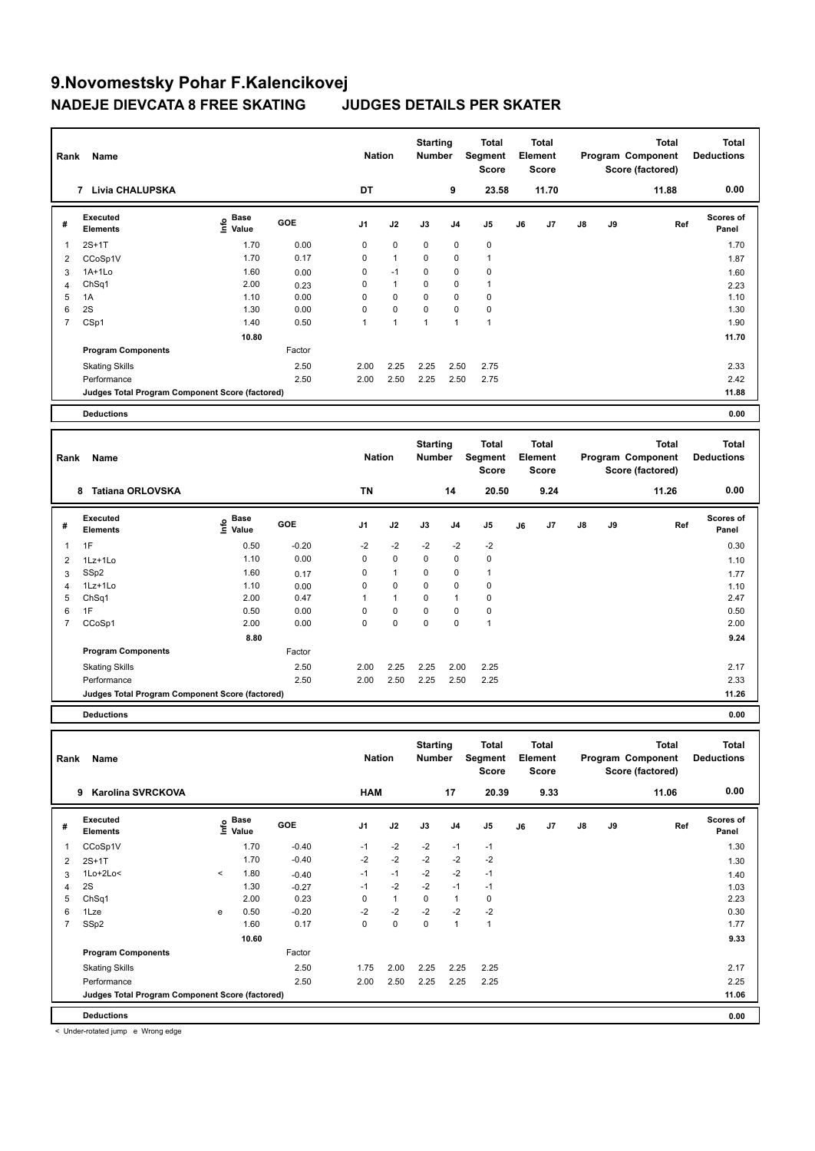|                | <b>Name</b><br>Rank<br><b>Livia CHALUPSKA</b><br>$\overline{7}$ |                                  |            |                | <b>Nation</b>        | <b>Starting</b><br><b>Number</b> |                | <b>Total</b><br>Segment<br><b>Score</b> |    | <b>Total</b><br>Element<br><b>Score</b> |               |    | <b>Total</b><br>Program Component<br>Score (factored) | <b>Total</b><br><b>Deductions</b> |
|----------------|-----------------------------------------------------------------|----------------------------------|------------|----------------|----------------------|----------------------------------|----------------|-----------------------------------------|----|-----------------------------------------|---------------|----|-------------------------------------------------------|-----------------------------------|
|                |                                                                 |                                  |            | DT             |                      |                                  | 9              | 23.58                                   |    | 11.70                                   |               |    | 11.88                                                 | 0.00                              |
| #              | Executed<br><b>Elements</b>                                     | <b>Base</b><br>e Base<br>⊆ Value | <b>GOE</b> | J <sub>1</sub> | J2                   | J3                               | J <sub>4</sub> | J5                                      | J6 | J7                                      | $\mathsf{J}8$ | J9 | Ref                                                   | <b>Scores of</b><br>Panel         |
| 1              | $2S+1T$                                                         | 1.70                             | 0.00       | $\mathbf 0$    | $\mathbf 0$          | $\mathbf 0$                      | 0              | $\mathbf 0$                             |    |                                         |               |    |                                                       | 1.70                              |
| 2              | CCoSp1V                                                         | 1.70                             | 0.17       | 0              | $\mathbf{1}$         | 0                                | 0              | 1                                       |    |                                         |               |    |                                                       | 1.87                              |
| 3              | $1A+1Lo$                                                        | 1.60                             | 0.00       | 0              | $-1$                 | 0                                | 0              | 0                                       |    |                                         |               |    |                                                       | 1.60                              |
| 4              | Ch <sub>Sq1</sub>                                               | 2.00                             | 0.23       | 0              | $\mathbf{1}$         | 0                                | 0              | 1                                       |    |                                         |               |    |                                                       | 2.23                              |
| 5              | 1A                                                              | 1.10                             | 0.00       | 0              | $\mathbf 0$          | 0                                | 0              | 0                                       |    |                                         |               |    |                                                       | 1.10                              |
| 6              | 2S                                                              | 1.30                             | 0.00       | $\mathbf 0$    | $\mathbf 0$          | $\mathbf 0$                      | 0              | $\pmb{0}$                               |    |                                         |               |    |                                                       | 1.30                              |
| $\overline{7}$ | CSp1                                                            | 1.40                             | 0.50       | $\mathbf{1}$   | $\blacktriangleleft$ | $\mathbf{1}$                     | $\mathbf{1}$   | $\overline{1}$                          |    |                                         |               |    |                                                       | 1.90                              |
|                |                                                                 | 10.80                            |            |                |                      |                                  |                |                                         |    |                                         |               |    |                                                       | 11.70                             |
|                | <b>Program Components</b>                                       |                                  | Factor     |                |                      |                                  |                |                                         |    |                                         |               |    |                                                       |                                   |
|                | <b>Skating Skills</b>                                           |                                  | 2.50       | 2.00           | 2.25                 | 2.25                             | 2.50           | 2.75                                    |    |                                         |               |    |                                                       | 2.33                              |
|                | Performance                                                     |                                  | 2.50       | 2.00           | 2.50                 | 2.25                             | 2.50           | 2.75                                    |    |                                         |               |    |                                                       | 2.42                              |
|                | Judges Total Program Component Score (factored)                 |                                  |            |                |                      |                                  |                |                                         |    |                                         |               |    |                                                       | 11.88                             |
|                | <b>Deductions</b>                                               |                                  |            |                |                      |                                  |                |                                         |    |                                         |               |    |                                                       | 0.00                              |
|                |                                                                 |                                  |            |                |                      |                                  |                |                                         |    |                                         |               |    |                                                       |                                   |
| Rank           | Name                                                            |                                  |            | <b>Nation</b>  |                      | <b>Starting</b><br>Number        |                | <b>Total</b><br>Segment<br><b>Score</b> |    | <b>Total</b><br>Element<br>Score        |               |    | <b>Total</b><br>Program Component<br>Score (factored) | <b>Total</b><br><b>Deductions</b> |

|                | <b>Tatiana ORLOVSKA</b><br>8                    |                             |            | <b>TN</b>      |              |              | 14   | 20.50          |    | 9.24           |               |    | 11.26 | 0.00                      |
|----------------|-------------------------------------------------|-----------------------------|------------|----------------|--------------|--------------|------|----------------|----|----------------|---------------|----|-------|---------------------------|
| #              | Executed<br>Elements                            | Base<br>$\frac{6}{5}$ Value | <b>GOE</b> | J <sub>1</sub> | J2           | J3           | J4   | J <sub>5</sub> | J6 | J <sub>7</sub> | $\mathsf{J}8$ | J9 | Ref   | <b>Scores of</b><br>Panel |
|                | 1F                                              | 0.50                        | $-0.20$    | $-2$           | $-2$         | $-2$         | $-2$ | $-2$           |    |                |               |    |       | 0.30                      |
| $\overline{2}$ | 1Lz+1Lo                                         | 1.10                        | 0.00       | 0              | 0            | $\mathbf{0}$ | 0    | 0              |    |                |               |    |       | 1.10                      |
| 3              | SSp2                                            | 1.60                        | 0.17       | 0              | 1            | $\mathbf{0}$ | 0    | $\mathbf{1}$   |    |                |               |    |       | 1.77                      |
| 4              | $1Lz+1Lo$                                       | 1.10                        | 0.00       | 0              | 0            | $\mathbf{0}$ | 0    | 0              |    |                |               |    |       | 1.10                      |
| 5              | ChSq1                                           | 2.00                        | 0.47       |                | $\mathbf{1}$ | $\mathbf{0}$ | 1    | 0              |    |                |               |    |       | 2.47                      |
| 6              | 1F                                              | 0.50                        | 0.00       | 0              | 0            | $\mathbf{0}$ | 0    | 0              |    |                |               |    |       | 0.50                      |
| 7              | CCoSp1                                          | 2.00                        | 0.00       | 0              | 0            | $\mathbf{0}$ | 0    | 1              |    |                |               |    |       | 2.00                      |
|                |                                                 | 8.80                        |            |                |              |              |      |                |    |                |               |    |       | 9.24                      |
|                | <b>Program Components</b>                       |                             | Factor     |                |              |              |      |                |    |                |               |    |       |                           |
|                | <b>Skating Skills</b>                           |                             | 2.50       | 2.00           | 2.25         | 2.25         | 2.00 | 2.25           |    |                |               |    |       | 2.17                      |
|                | Performance                                     |                             | 2.50       | 2.00           | 2.50         | 2.25         | 2.50 | 2.25           |    |                |               |    |       | 2.33                      |
|                | Judges Total Program Component Score (factored) |                             |            |                |              |              |      |                |    |                |               |    |       | 11.26                     |

**Deductions 0.00**

| Rank           | Name                                            |         |                             |            | <b>Nation</b>  |              | <b>Starting</b><br><b>Number</b> |                | <b>Total</b><br>Segment<br><b>Score</b> |    | <b>Total</b><br>Element<br>Score |               |    | <b>Total</b><br>Program Component<br>Score (factored) | Total<br><b>Deductions</b> |
|----------------|-------------------------------------------------|---------|-----------------------------|------------|----------------|--------------|----------------------------------|----------------|-----------------------------------------|----|----------------------------------|---------------|----|-------------------------------------------------------|----------------------------|
|                | <b>Karolina SVRCKOVA</b><br>9                   |         |                             |            | <b>HAM</b>     |              |                                  | 17             | 20.39                                   |    | 9.33                             |               |    | 11.06                                                 | 0.00                       |
| #              | Executed<br><b>Elements</b>                     |         | Base<br>$\frac{6}{5}$ Value | <b>GOE</b> | J <sub>1</sub> | J2           | J3                               | J <sub>4</sub> | J <sub>5</sub>                          | J6 | J7                               | $\mathsf{J}8$ | J9 | Ref                                                   | <b>Scores of</b><br>Panel  |
| $\overline{1}$ | CCoSp1V                                         |         | 1.70                        | $-0.40$    | $-1$           | $-2$         | $-2$                             | $-1$           | $-1$                                    |    |                                  |               |    |                                                       | 1.30                       |
| $\overline{2}$ | $2S+1T$                                         |         | 1.70                        | $-0.40$    | $-2$           | $-2$         | $-2$                             | $-2$           | $-2$                                    |    |                                  |               |    |                                                       | 1.30                       |
| 3              | 1Lo+2Lo<                                        | $\prec$ | 1.80                        | $-0.40$    | $-1$           | $-1$         | $-2$                             | $-2$           | $-1$                                    |    |                                  |               |    |                                                       | 1.40                       |
| 4              | 2S                                              |         | 1.30                        | $-0.27$    | $-1$           | $-2$         | $-2$                             | $-1$           | $-1$                                    |    |                                  |               |    |                                                       | 1.03                       |
| 5              | ChSq1                                           |         | 2.00                        | 0.23       | 0              | $\mathbf{1}$ | $\Omega$                         | 1              | $\mathbf 0$                             |    |                                  |               |    |                                                       | 2.23                       |
| 6              | 1Lze                                            | e       | 0.50                        | $-0.20$    | $-2$           | $-2$         | $-2$                             | $-2$           | $-2$                                    |    |                                  |               |    |                                                       | 0.30                       |
| $\overline{7}$ | SSp2                                            |         | 1.60                        | 0.17       | $\Omega$       | 0            | 0                                | 1              | $\overline{1}$                          |    |                                  |               |    |                                                       | 1.77                       |
|                |                                                 |         | 10.60                       |            |                |              |                                  |                |                                         |    |                                  |               |    |                                                       | 9.33                       |
|                | <b>Program Components</b>                       |         |                             | Factor     |                |              |                                  |                |                                         |    |                                  |               |    |                                                       |                            |
|                | <b>Skating Skills</b>                           |         |                             | 2.50       | 1.75           | 2.00         | 2.25                             | 2.25           | 2.25                                    |    |                                  |               |    |                                                       | 2.17                       |
|                | Performance                                     |         |                             | 2.50       | 2.00           | 2.50         | 2.25                             | 2.25           | 2.25                                    |    |                                  |               |    |                                                       | 2.25                       |
|                | Judges Total Program Component Score (factored) |         |                             |            |                |              |                                  |                |                                         |    |                                  |               |    |                                                       | 11.06                      |
|                | <b>Deductions</b>                               |         |                             |            |                |              |                                  |                |                                         |    |                                  |               |    |                                                       | 0.00                       |

< Under-rotated jump e Wrong edge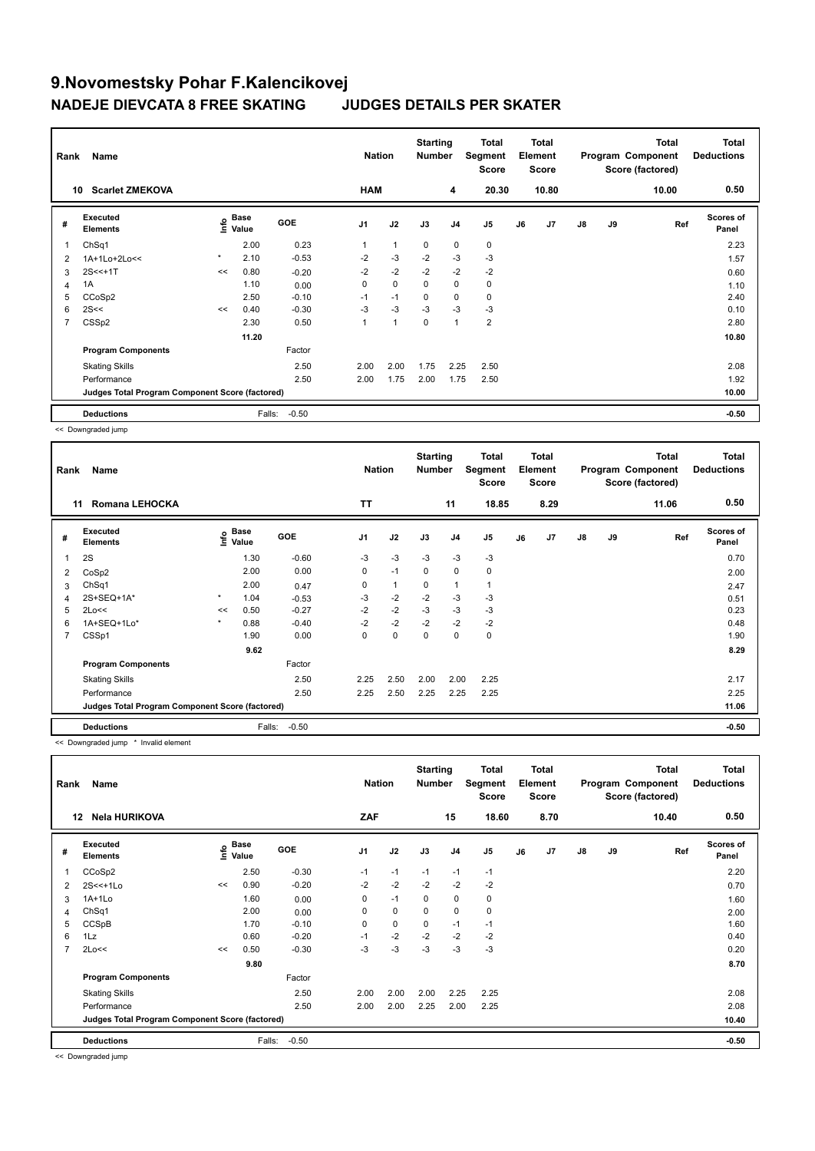| Rank           | Name                                            |         |                           |            | <b>Nation</b>  |              | <b>Starting</b><br><b>Number</b> |                | <b>Total</b><br>Segment<br><b>Score</b> |    | <b>Total</b><br>Element<br><b>Score</b> |               |    | <b>Total</b><br>Program Component<br>Score (factored) | <b>Total</b><br><b>Deductions</b> |
|----------------|-------------------------------------------------|---------|---------------------------|------------|----------------|--------------|----------------------------------|----------------|-----------------------------------------|----|-----------------------------------------|---------------|----|-------------------------------------------------------|-----------------------------------|
| 10             | <b>Scarlet ZMEKOVA</b>                          |         |                           |            | <b>HAM</b>     |              |                                  | 4              | 20.30                                   |    | 10.80                                   |               |    | 10.00                                                 | 0.50                              |
| #              | Executed<br><b>Elements</b>                     |         | Base<br>o Base<br>⊆ Value | <b>GOE</b> | J <sub>1</sub> | J2           | J3                               | J <sub>4</sub> | J <sub>5</sub>                          | J6 | J7                                      | $\mathsf{J}8$ | J9 | Ref                                                   | Scores of<br>Panel                |
| 1              | ChSq1                                           |         | 2.00                      | 0.23       |                | $\mathbf{1}$ | $\mathbf 0$                      | $\mathbf 0$    | 0                                       |    |                                         |               |    |                                                       | 2.23                              |
| 2              | 1A+1Lo+2Lo<<                                    | $\star$ | 2.10                      | $-0.53$    | $-2$           | $-3$         | $-2$                             | -3             | $-3$                                    |    |                                         |               |    |                                                       | 1.57                              |
| 3              | $2S < +1T$                                      | <<      | 0.80                      | $-0.20$    | $-2$           | $-2$         | $-2$                             | $-2$           | $-2$                                    |    |                                         |               |    |                                                       | 0.60                              |
| 4              | 1A                                              |         | 1.10                      | 0.00       | 0              | $\mathbf 0$  | $\Omega$                         | $\mathbf 0$    | 0                                       |    |                                         |               |    |                                                       | 1.10                              |
| 5              | CCoSp2                                          |         | 2.50                      | $-0.10$    | $-1$           | $-1$         | 0                                | 0              | $\mathbf 0$                             |    |                                         |               |    |                                                       | 2.40                              |
| 6              | 2S<<                                            | <<      | 0.40                      | $-0.30$    | $-3$           | $-3$         | $-3$                             | -3             | $-3$                                    |    |                                         |               |    |                                                       | 0.10                              |
| $\overline{7}$ | CSS <sub>p2</sub>                               |         | 2.30                      | 0.50       |                | 1            | $\mathbf 0$                      | $\mathbf{1}$   | 2                                       |    |                                         |               |    |                                                       | 2.80                              |
|                |                                                 |         | 11.20                     |            |                |              |                                  |                |                                         |    |                                         |               |    |                                                       | 10.80                             |
|                | <b>Program Components</b>                       |         |                           | Factor     |                |              |                                  |                |                                         |    |                                         |               |    |                                                       |                                   |
|                | <b>Skating Skills</b>                           |         |                           | 2.50       | 2.00           | 2.00         | 1.75                             | 2.25           | 2.50                                    |    |                                         |               |    |                                                       | 2.08                              |
|                | Performance                                     |         |                           | 2.50       | 2.00           | 1.75         | 2.00                             | 1.75           | 2.50                                    |    |                                         |               |    |                                                       | 1.92                              |
|                | Judges Total Program Component Score (factored) |         |                           |            |                |              |                                  |                |                                         |    |                                         |               |    |                                                       | 10.00                             |
|                | <b>Deductions</b>                               |         | Falls:                    | $-0.50$    |                |              |                                  |                |                                         |    |                                         |               |    |                                                       | $-0.50$                           |

<< Downgraded jump

| Rank | Name                                            |                            |        |            | <b>Nation</b>  |              | <b>Starting</b><br><b>Number</b> |                | Total<br>Segment<br><b>Score</b> |    | Total<br>Element<br><b>Score</b> |    |    | <b>Total</b><br>Program Component<br>Score (factored) | Total<br><b>Deductions</b> |
|------|-------------------------------------------------|----------------------------|--------|------------|----------------|--------------|----------------------------------|----------------|----------------------------------|----|----------------------------------|----|----|-------------------------------------------------------|----------------------------|
| 11   | <b>Romana LEHOCKA</b>                           |                            |        |            | TT             |              |                                  | 11             | 18.85                            |    | 8.29                             |    |    | 11.06                                                 | 0.50                       |
| #    | Executed<br><b>Elements</b>                     | $\sum_{k=1}^{\infty}$ Pase |        | <b>GOE</b> | J <sub>1</sub> | J2           | J3                               | J <sub>4</sub> | J5                               | J6 | J7                               | J8 | J9 | Ref                                                   | <b>Scores of</b><br>Panel  |
| 1    | 2S                                              |                            | 1.30   | $-0.60$    | $-3$           | $-3$         | $-3$                             | $-3$           | $-3$                             |    |                                  |    |    |                                                       | 0.70                       |
| 2    | CoSp2                                           |                            | 2.00   | 0.00       | 0              | $-1$         | $\mathbf 0$                      | $\mathbf 0$    | $\mathbf 0$                      |    |                                  |    |    |                                                       | 2.00                       |
| 3    | ChSq1                                           |                            | 2.00   | 0.47       | 0              | $\mathbf{1}$ | 0                                | $\mathbf{1}$   | 1                                |    |                                  |    |    |                                                       | 2.47                       |
| 4    | 2S+SEQ+1A*                                      | $\star$                    | 1.04   | $-0.53$    | $-3$           | $-2$         | $-2$                             | $-3$           | $-3$                             |    |                                  |    |    |                                                       | 0.51                       |
| 5    | 2Lo<<                                           | <<                         | 0.50   | $-0.27$    | $-2$           | $-2$         | $-3$                             | $-3$           | $-3$                             |    |                                  |    |    |                                                       | 0.23                       |
| 6    | 1A+SEQ+1Lo*                                     | $\star$                    | 0.88   | $-0.40$    | $-2$           | $-2$         | $-2$                             | $-2$           | $-2$                             |    |                                  |    |    |                                                       | 0.48                       |
| 7    | CSSp1                                           |                            | 1.90   | 0.00       | 0              | $\mathbf 0$  | 0                                | 0              | $\mathbf 0$                      |    |                                  |    |    |                                                       | 1.90                       |
|      |                                                 |                            | 9.62   |            |                |              |                                  |                |                                  |    |                                  |    |    |                                                       | 8.29                       |
|      | <b>Program Components</b>                       |                            |        | Factor     |                |              |                                  |                |                                  |    |                                  |    |    |                                                       |                            |
|      | <b>Skating Skills</b>                           |                            |        | 2.50       | 2.25           | 2.50         | 2.00                             | 2.00           | 2.25                             |    |                                  |    |    |                                                       | 2.17                       |
|      | Performance                                     |                            |        | 2.50       | 2.25           | 2.50         | 2.25                             | 2.25           | 2.25                             |    |                                  |    |    |                                                       | 2.25                       |
|      | Judges Total Program Component Score (factored) |                            |        |            |                |              |                                  |                |                                  |    |                                  |    |    |                                                       | 11.06                      |
|      | <b>Deductions</b>                               |                            | Falls: | $-0.50$    |                |              |                                  |                |                                  |    |                                  |    |    |                                                       | $-0.50$                    |

<< Downgraded jump \* Invalid element

| Rank           | Name                                            |    |                                         |         | <b>Nation</b>  |             | <b>Starting</b><br><b>Number</b> |                | Total<br>Segment<br><b>Score</b> |    | <b>Total</b><br>Element<br><b>Score</b> |               |    | <b>Total</b><br>Program Component<br>Score (factored) | <b>Total</b><br><b>Deductions</b> |
|----------------|-------------------------------------------------|----|-----------------------------------------|---------|----------------|-------------|----------------------------------|----------------|----------------------------------|----|-----------------------------------------|---------------|----|-------------------------------------------------------|-----------------------------------|
| 12             | <b>Nela HURIKOVA</b>                            |    |                                         |         | ZAF            |             |                                  | 15             | 18.60                            |    | 8.70                                    |               |    | 10.40                                                 | 0.50                              |
| #              | Executed<br><b>Elements</b>                     |    | $\mathsf{E}$ Base<br>$\mathsf{E}$ Value | GOE     | J <sub>1</sub> | J2          | J3                               | J <sub>4</sub> | J5                               | J6 | J7                                      | $\mathsf{J}8$ | J9 | Ref                                                   | <b>Scores of</b><br>Panel         |
|                | CCoSp2                                          |    | 2.50                                    | $-0.30$ | $-1$           | $-1$        | $-1$                             | $-1$           | $-1$                             |    |                                         |               |    |                                                       | 2.20                              |
| 2              | $2S < +1LO$                                     | << | 0.90                                    | $-0.20$ | $-2$           | $-2$        | $-2$                             | $-2$           | $-2$                             |    |                                         |               |    |                                                       | 0.70                              |
| 3              | $1A+1Lo$                                        |    | 1.60                                    | 0.00    | 0              | $-1$        | $\mathbf 0$                      | 0              | 0                                |    |                                         |               |    |                                                       | 1.60                              |
| 4              | Ch <sub>Sq1</sub>                               |    | 2.00                                    | 0.00    | 0              | $\mathbf 0$ | $\mathbf 0$                      | $\mathbf 0$    | 0                                |    |                                         |               |    |                                                       | 2.00                              |
| 5              | CCSpB                                           |    | 1.70                                    | $-0.10$ | 0              | $\mathbf 0$ | $\mathbf 0$                      | $-1$           | $-1$                             |    |                                         |               |    |                                                       | 1.60                              |
| 6              | 1Lz                                             |    | 0.60                                    | $-0.20$ | $-1$           | $-2$        | -2                               | $-2$           | $-2$                             |    |                                         |               |    |                                                       | 0.40                              |
| $\overline{7}$ | 2Lo<<                                           | << | 0.50                                    | $-0.30$ | $-3$           | -3          | $-3$                             | $-3$           | $-3$                             |    |                                         |               |    |                                                       | 0.20                              |
|                |                                                 |    | 9.80                                    |         |                |             |                                  |                |                                  |    |                                         |               |    |                                                       | 8.70                              |
|                | <b>Program Components</b>                       |    |                                         | Factor  |                |             |                                  |                |                                  |    |                                         |               |    |                                                       |                                   |
|                | <b>Skating Skills</b>                           |    |                                         | 2.50    | 2.00           | 2.00        | 2.00                             | 2.25           | 2.25                             |    |                                         |               |    |                                                       | 2.08                              |
|                | Performance                                     |    |                                         | 2.50    | 2.00           | 2.00        | 2.25                             | 2.00           | 2.25                             |    |                                         |               |    |                                                       | 2.08                              |
|                | Judges Total Program Component Score (factored) |    |                                         |         |                |             |                                  |                |                                  |    |                                         |               |    |                                                       | 10.40                             |
|                | <b>Deductions</b>                               |    | Falls:                                  | $-0.50$ |                |             |                                  |                |                                  |    |                                         |               |    |                                                       | $-0.50$                           |

<< Downgraded jump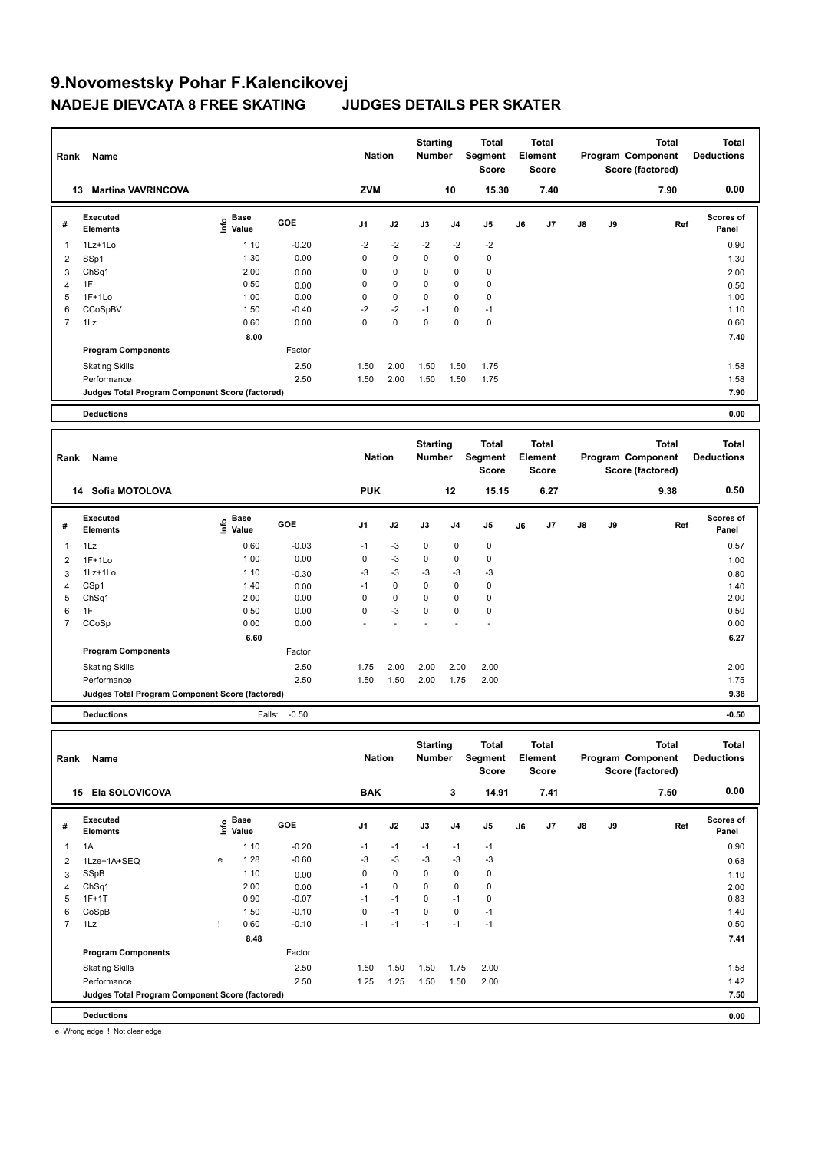| Rank | Name                                            |                           |            | <b>Nation</b>  |             | <b>Starting</b><br><b>Number</b> |          | Total<br>Segment<br><b>Score</b> |    | <b>Total</b><br>Element<br><b>Score</b> |               |    | <b>Total</b><br>Program Component<br>Score (factored) | <b>Total</b><br><b>Deductions</b> |
|------|-------------------------------------------------|---------------------------|------------|----------------|-------------|----------------------------------|----------|----------------------------------|----|-----------------------------------------|---------------|----|-------------------------------------------------------|-----------------------------------|
| 13   | <b>Martina VAVRINCOVA</b>                       |                           |            | <b>ZVM</b>     |             |                                  | 10       | 15.30                            |    | 7.40                                    |               |    | 7.90                                                  | 0.00                              |
| #    | Executed<br><b>Elements</b>                     | Base<br>e Base<br>⊆ Value | <b>GOE</b> | J <sub>1</sub> | J2          | J3                               | J4       | J5                               | J6 | J7                                      | $\mathsf{J}8$ | J9 | Ref                                                   | <b>Scores of</b><br>Panel         |
| 1    | 1Lz+1Lo                                         | 1.10                      | $-0.20$    | $-2$           | $-2$        | $-2$                             | $-2$     | $-2$                             |    |                                         |               |    |                                                       | 0.90                              |
| 2    | SSp1                                            | 1.30                      | 0.00       | 0              | 0           | $\mathbf 0$                      | 0        | 0                                |    |                                         |               |    |                                                       | 1.30                              |
| 3    | ChSq1                                           | 2.00                      | 0.00       | 0              | 0           | $\mathbf 0$                      | 0        | 0                                |    |                                         |               |    |                                                       | 2.00                              |
| 4    | 1F                                              | 0.50                      | 0.00       | 0              | $\mathbf 0$ | $\Omega$                         | 0        | $\mathbf 0$                      |    |                                         |               |    |                                                       | 0.50                              |
| 5    | $1F+1Lo$                                        | 1.00                      | 0.00       | 0              | $\mathbf 0$ | $\mathbf 0$                      | 0        | $\mathbf 0$                      |    |                                         |               |    |                                                       | 1.00                              |
| 6    | CCoSpBV                                         | 1.50                      | $-0.40$    | $-2$           | $-2$        | $-1$                             | 0        | $-1$                             |    |                                         |               |    |                                                       | 1.10                              |
| 7    | 1Lz                                             | 0.60                      | 0.00       | $\mathbf 0$    | $\mathbf 0$ | $\mathbf 0$                      | $\Omega$ | $\mathbf 0$                      |    |                                         |               |    |                                                       | 0.60                              |
|      |                                                 | 8.00                      |            |                |             |                                  |          |                                  |    |                                         |               |    |                                                       | 7.40                              |
|      | <b>Program Components</b>                       |                           | Factor     |                |             |                                  |          |                                  |    |                                         |               |    |                                                       |                                   |
|      | <b>Skating Skills</b>                           |                           | 2.50       | 1.50           | 2.00        | 1.50                             | 1.50     | 1.75                             |    |                                         |               |    |                                                       | 1.58                              |
|      | Performance                                     |                           | 2.50       | 1.50           | 2.00        | 1.50                             | 1.50     | 1.75                             |    |                                         |               |    |                                                       | 1.58                              |
|      | Judges Total Program Component Score (factored) |                           |            |                |             |                                  |          |                                  |    |                                         |               |    |                                                       | 7.90                              |
|      | <b>Deductions</b>                               |                           |            |                |             |                                  |          |                                  |    |                                         |               |    |                                                       | 0.00                              |

| Rank<br>Name |                                                 |                           |            |                | <b>Starting</b><br><b>Nation</b><br><b>Number</b> |             |          | <b>Total</b><br>Segment<br><b>Score</b> |    | <b>Total</b><br>Element<br><b>Score</b> |               |    | <b>Total</b><br>Program Component<br>Score (factored) | <b>Total</b><br><b>Deductions</b> |
|--------------|-------------------------------------------------|---------------------------|------------|----------------|---------------------------------------------------|-------------|----------|-----------------------------------------|----|-----------------------------------------|---------------|----|-------------------------------------------------------|-----------------------------------|
|              | Sofia MOTOLOVA<br>14                            |                           |            | <b>PUK</b>     |                                                   |             | 12       | 15.15                                   |    | 6.27                                    |               |    | 9.38                                                  | 0.50                              |
| #            | Executed<br><b>Elements</b>                     | Base<br>e Base<br>⊆ Value | <b>GOE</b> | J <sub>1</sub> | J2                                                | J3          | J4       | J5                                      | J6 | J7                                      | $\mathsf{J}8$ | J9 | Ref                                                   | <b>Scores of</b><br>Panel         |
|              | 1Lz                                             | 0.60                      | $-0.03$    | $-1$           | $-3$                                              | $\mathbf 0$ | 0        | 0                                       |    |                                         |               |    |                                                       | 0.57                              |
| 2            | $1F+1Lo$                                        | 1.00                      | 0.00       | $\mathbf 0$    | $-3$                                              | $\mathbf 0$ | 0        | $\mathbf 0$                             |    |                                         |               |    |                                                       | 1.00                              |
| 3            | 1Lz+1Lo                                         | 1.10                      | $-0.30$    | $-3$           | $-3$                                              | $-3$        | -3       | $-3$                                    |    |                                         |               |    |                                                       | 0.80                              |
| 4            | CSp1                                            | 1.40                      | 0.00       | $-1$           | $\mathbf 0$                                       | $\mathbf 0$ | 0        | 0                                       |    |                                         |               |    |                                                       | 1.40                              |
| 5            | ChSq1                                           | 2.00                      | 0.00       | 0              | $\mathbf 0$                                       | $\mathbf 0$ | 0        | $\mathbf 0$                             |    |                                         |               |    |                                                       | 2.00                              |
| 6            | 1F                                              | 0.50                      | 0.00       | 0              | $-3$                                              | $\mathbf 0$ | $\Omega$ | $\mathbf 0$                             |    |                                         |               |    |                                                       | 0.50                              |
| 7            | CCoSp                                           | 0.00                      | 0.00       |                |                                                   |             |          |                                         |    |                                         |               |    |                                                       | 0.00                              |
|              |                                                 | 6.60                      |            |                |                                                   |             |          |                                         |    |                                         |               |    |                                                       | 6.27                              |
|              | <b>Program Components</b>                       |                           | Factor     |                |                                                   |             |          |                                         |    |                                         |               |    |                                                       |                                   |
|              | <b>Skating Skills</b>                           |                           | 2.50       | 1.75           | 2.00                                              | 2.00        | 2.00     | 2.00                                    |    |                                         |               |    |                                                       | 2.00                              |
|              | Performance                                     |                           | 2.50       | 1.50           | 1.50                                              | 2.00        | 1.75     | 2.00                                    |    |                                         |               |    |                                                       | 1.75                              |
|              | Judges Total Program Component Score (factored) |                           |            |                |                                                   |             |          |                                         |    |                                         |               |    |                                                       | 9.38                              |
|              | <b>Deductions</b>                               | Falls:                    | $-0.50$    |                |                                                   |             |          |                                         |    |                                         |               |    |                                                       | $-0.50$                           |

| Rank<br>Name   |                                                 |   |                                  |            |                | <b>Nation</b> | <b>Starting</b><br><b>Number</b> |      | <b>Total</b><br>Segment<br><b>Score</b> | <b>Total</b><br>Element<br>Score |      |               |    | <b>Total</b><br>Program Component<br>Score (factored) | <b>Total</b><br><b>Deductions</b> |
|----------------|-------------------------------------------------|---|----------------------------------|------------|----------------|---------------|----------------------------------|------|-----------------------------------------|----------------------------------|------|---------------|----|-------------------------------------------------------|-----------------------------------|
| 15             | Ela SOLOVICOVA                                  |   |                                  |            | <b>BAK</b>     |               |                                  | 3    | 14.91                                   |                                  | 7.41 |               |    | 7.50                                                  | 0.00                              |
| #              | Executed<br><b>Elements</b>                     |   | <b>Base</b><br>e Base<br>⊆ Value | <b>GOE</b> | J <sub>1</sub> | J2            | J3                               | J4   | J <sub>5</sub>                          | J6                               | J7   | $\mathsf{J}8$ | J9 | Ref                                                   | <b>Scores of</b><br>Panel         |
| 1              | 1A                                              |   | 1.10                             | $-0.20$    | $-1$           | $-1$          | $-1$                             | $-1$ | $-1$                                    |                                  |      |               |    |                                                       | 0.90                              |
| 2              | 1Lze+1A+SEQ                                     | e | 1.28                             | $-0.60$    | $-3$           | $-3$          | $-3$                             | $-3$ | $-3$                                    |                                  |      |               |    |                                                       | 0.68                              |
| 3              | SSpB                                            |   | 1.10                             | 0.00       | $\mathbf 0$    | $\mathbf 0$   | $\mathbf 0$                      | 0    | $\pmb{0}$                               |                                  |      |               |    |                                                       | 1.10                              |
| 4              | Ch <sub>Sq1</sub>                               |   | 2.00                             | 0.00       | $-1$           | $\mathbf 0$   | $\mathbf 0$                      | 0    | $\pmb{0}$                               |                                  |      |               |    |                                                       | 2.00                              |
| 5              | $1F+1T$                                         |   | 0.90                             | $-0.07$    | $-1$           | $-1$          | $\mathbf 0$                      | $-1$ | $\pmb{0}$                               |                                  |      |               |    |                                                       | 0.83                              |
| 6              | CoSpB                                           |   | 1.50                             | $-0.10$    | 0              | $-1$          | $\mathbf 0$                      | 0    | $-1$                                    |                                  |      |               |    |                                                       | 1.40                              |
| $\overline{7}$ | 1Lz                                             |   | 0.60                             | $-0.10$    | $-1$           | $-1$          | $-1$                             | $-1$ | $-1$                                    |                                  |      |               |    |                                                       | 0.50                              |
|                |                                                 |   | 8.48                             |            |                |               |                                  |      |                                         |                                  |      |               |    |                                                       | 7.41                              |
|                | <b>Program Components</b>                       |   |                                  | Factor     |                |               |                                  |      |                                         |                                  |      |               |    |                                                       |                                   |
|                | <b>Skating Skills</b>                           |   |                                  | 2.50       | 1.50           | 1.50          | 1.50                             | 1.75 | 2.00                                    |                                  |      |               |    |                                                       | 1.58                              |
|                | Performance                                     |   |                                  | 2.50       | 1.25           | 1.25          | 1.50                             | 1.50 | 2.00                                    |                                  |      |               |    |                                                       | 1.42                              |
|                | Judges Total Program Component Score (factored) |   |                                  |            |                |               |                                  |      |                                         |                                  |      |               |    |                                                       | 7.50                              |
|                | <b>Deductions</b>                               |   |                                  |            |                |               |                                  |      |                                         |                                  |      |               |    |                                                       | 0.00                              |

e Wrong edge ! Not clear edge